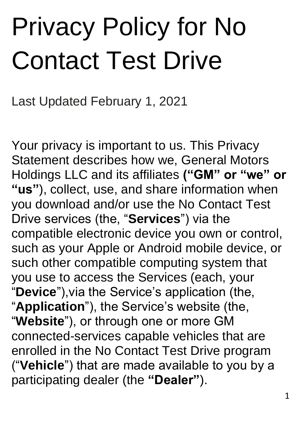# Privacy Policy for No Contact Test Drive

Last Updated February 1, 2021

Your privacy is important to us. This Privacy Statement describes how we, General Motors Holdings LLC and its affiliates **("GM" or "we" or "us"**), collect, use, and share information when you download and/or use the No Contact Test Drive services (the, "**Services**") via the compatible electronic device you own or control, such as your Apple or Android mobile device, or such other compatible computing system that you use to access the Services (each, your "**Device**"),via the Service's application (the, "**Application**"), the Service's website (the, "**Website**"), or through one or more GM connected-services capable vehicles that are enrolled in the No Contact Test Drive program ("**Vehicle**") that are made available to you by a participating dealer (the **"Dealer"**).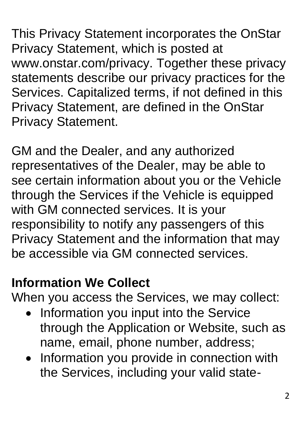This Privacy Statement incorporates the OnStar Privacy Statement, which is posted at www.onstar.com/privacy. Together these privacy statements describe our privacy practices for the Services. Capitalized terms, if not defined in this Privacy Statement, are defined in the OnStar Privacy Statement.

GM and the Dealer, and any authorized representatives of the Dealer, may be able to see certain information about you or the Vehicle through the Services if the Vehicle is equipped with GM connected services. It is your responsibility to notify any passengers of this Privacy Statement and the information that may be accessible via GM connected services.

## **Information We Collect**

When you access the Services, we may collect:

- Information you input into the Service through the Application or Website, such as name, email, phone number, address;
- Information you provide in connection with the Services, including your valid state-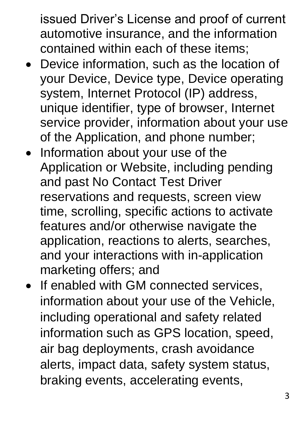issued Driver's License and proof of current automotive insurance, and the information contained within each of these items;

- Device information, such as the location of your Device, Device type, Device operating system, Internet Protocol (IP) address, unique identifier, type of browser, Internet service provider, information about your use of the Application, and phone number;
- Information about your use of the Application or Website, including pending and past No Contact Test Driver reservations and requests, screen view time, scrolling, specific actions to activate features and/or otherwise navigate the application, reactions to alerts, searches, and your interactions with in-application marketing offers; and
- If enabled with GM connected services, information about your use of the Vehicle, including operational and safety related information such as GPS location, speed, air bag deployments, crash avoidance alerts, impact data, safety system status, braking events, accelerating events,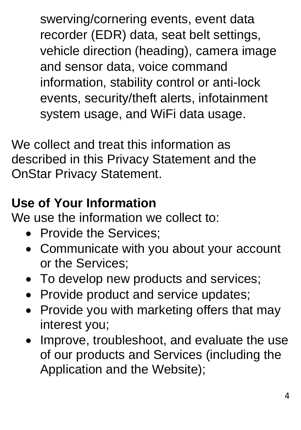swerving/cornering events, event data recorder (EDR) data, seat belt settings, vehicle direction (heading), camera image and sensor data, voice command information, stability control or anti-lock events, security/theft alerts, infotainment system usage, and WiFi data usage.

We collect and treat this information as described in this Privacy Statement and the OnStar Privacy Statement.

# **Use of Your Information**

We use the information we collect to:

- Provide the Services:
- Communicate with you about your account or the Services;
- To develop new products and services;
- Provide product and service updates;
- Provide you with marketing offers that may interest you;
- Improve, troubleshoot, and evaluate the use of our products and Services (including the Application and the Website);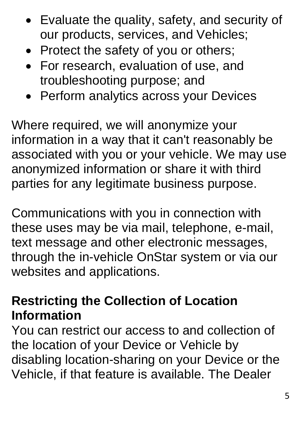- Evaluate the quality, safety, and security of our products, services, and Vehicles;
- Protect the safety of you or others;
- For research, evaluation of use, and troubleshooting purpose; and
- Perform analytics across your Devices

Where required, we will anonymize your information in a way that it can't reasonably be associated with you or your vehicle. We may use anonymized information or share it with third parties for any legitimate business purpose.

Communications with you in connection with these uses may be via mail, telephone, e-mail, text message and other electronic messages, through the in-vehicle OnStar system or via our websites and applications.

## **Restricting the Collection of Location Information**

You can restrict our access to and collection of the location of your Device or Vehicle by disabling location-sharing on your Device or the Vehicle, if that feature is available. The Dealer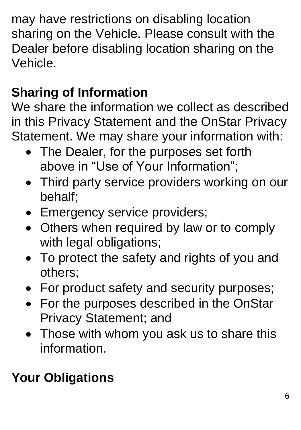may have restrictions on disabling location sharing on the Vehicle. Please consult with the Dealer before disabling location sharing on the Vehicle.

# **Sharing of Information**

We share the information we collect as described in this Privacy Statement and the OnStar Privacy Statement. We may share your information with:

- The Dealer, for the purposes set forth above in "Use of Your Information";
- Third party service providers working on our behalf;
- Emergency service providers;
- Others when required by law or to comply with legal obligations;
- To protect the safety and rights of you and others;
- For product safety and security purposes;
- For the purposes described in the OnStar Privacy Statement; and
- Those with whom you ask us to share this information.

# **Your Obligations**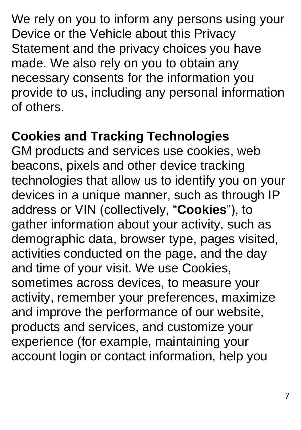We rely on you to inform any persons using your Device or the Vehicle about this Privacy Statement and the privacy choices you have made. We also rely on you to obtain any necessary consents for the information you provide to us, including any personal information of others.

#### **Cookies and Tracking Technologies**

GM products and services use cookies, web beacons, pixels and other device tracking technologies that allow us to identify you on your devices in a unique manner, such as through IP address or VIN (collectively, "**Cookies**"), to gather information about your activity, such as demographic data, browser type, pages visited, activities conducted on the page, and the day and time of your visit. We use Cookies, sometimes across devices, to measure your activity, remember your preferences, maximize and improve the performance of our website, products and services, and customize your experience (for example, maintaining your account login or contact information, help you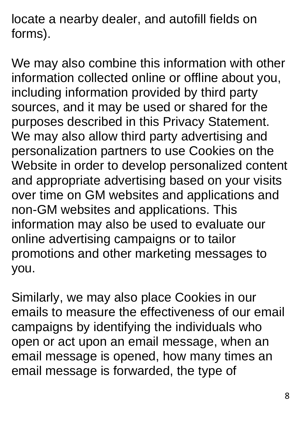locate a nearby dealer, and autofill fields on forms).

We may also combine this information with other information collected online or offline about you, including information provided by third party sources, and it may be used or shared for the purposes described in this Privacy Statement. We may also allow third party advertising and personalization partners to use Cookies on the Website in order to develop personalized content and appropriate advertising based on your visits over time on GM websites and applications and non-GM websites and applications. This information may also be used to evaluate our online advertising campaigns or to tailor promotions and other marketing messages to you.

Similarly, we may also place Cookies in our emails to measure the effectiveness of our email campaigns by identifying the individuals who open or act upon an email message, when an email message is opened, how many times an email message is forwarded, the type of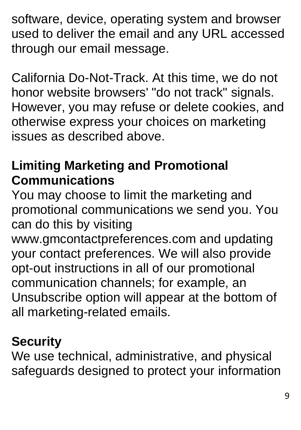software, device, operating system and browser used to deliver the email and any URL accessed through our email message.

California Do-Not-Track. At this time, we do not honor website browsers' "do not track" signals. However, you may refuse or delete cookies, and otherwise express your choices on marketing issues as described above.

## **Limiting Marketing and Promotional Communications**

You may choose to limit the marketing and promotional communications we send you. You can do this by visiting

www.gmcontactpreferences.com and updating your contact preferences. We will also provide opt-out instructions in all of our promotional communication channels; for example, an Unsubscribe option will appear at the bottom of all marketing-related emails.

## **Security**

We use technical, administrative, and physical safeguards designed to protect your information